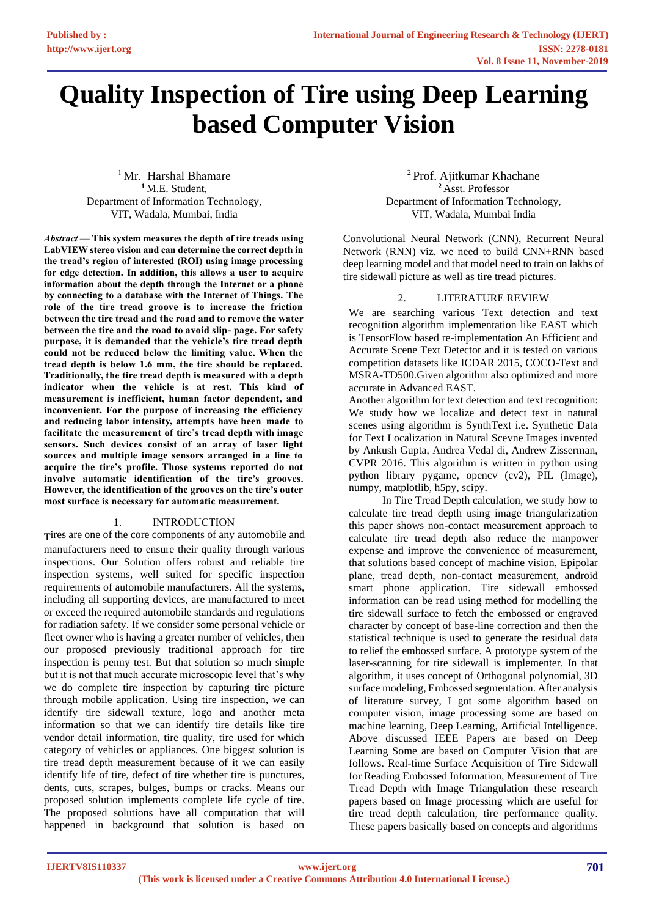# **Quality Inspection of Tire using Deep Learning based Computer Vision**

<sup>1</sup> Mr. Harshal Bhamare **<sup>1</sup>** M.E. Student, Department of Information Technology, VIT, Wadala, Mumbai, India

*Abstract* — **This system measures the depth of tire treads using LabVIEW stereo vision and can determine the correct depth in the tread's region of interested (ROI) using image processing for edge detection. In addition, this allows a user to acquire information about the depth through the Internet or a phone by connecting to a database with the Internet of Things. The role of the tire tread groove is to increase the friction between the tire tread and the road and to remove the water between the tire and the road to avoid slip- page. For safety purpose, it is demanded that the vehicle's tire tread depth could not be reduced below the limiting value. When the tread depth is below 1.6 mm, the tire should be replaced. Traditionally, the tire tread depth is measured with a depth indicator when the vehicle is at rest. This kind of measurement is inefficient, human factor dependent, and inconvenient. For the purpose of increasing the efficiency and reducing labor intensity, attempts have been made to facilitate the measurement of tire's tread depth with image sensors. Such devices consist of an array of laser light sources and multiple image sensors arranged in a line to acquire the tire's profile. Those systems reported do not involve automatic identification of the tire's grooves. However, the identification of the grooves on the tire's outer most surface is necessary for automatic measurement***.*

## 1. INTRODUCTION

Tires are one of the core components of any automobile and manufacturers need to ensure their quality through various inspections. Our Solution offers robust and reliable tire inspection systems, well suited for specific inspection requirements of automobile manufacturers. All the systems, including all supporting devices, are manufactured to meet or exceed the required automobile standards and regulations for radiation safety. If we consider some personal vehicle or fleet owner who is having a greater number of vehicles, then our proposed previously traditional approach for tire inspection is penny test. But that solution so much simple but it is not that much accurate microscopic level that's why we do complete tire inspection by capturing tire picture through mobile application. Using tire inspection, we can identify tire sidewall texture, logo and another meta information so that we can identify tire details like tire vendor detail information, tire quality, tire used for which category of vehicles or appliances. One biggest solution is tire tread depth measurement because of it we can easily identify life of tire, defect of tire whether tire is punctures, dents, cuts, scrapes, bulges, bumps or cracks. Means our proposed solution implements complete life cycle of tire. The proposed solutions have all computation that will happened in background that solution is based on

<sup>2</sup> Prof. Ajitkumar Khachane **<sup>2</sup>** Asst. Professor Department of Information Technology, VIT, Wadala, Mumbai India

Convolutional Neural Network (CNN), Recurrent Neural Network (RNN) viz. we need to build CNN+RNN based deep learning model and that model need to train on lakhs of tire sidewall picture as well as tire tread pictures.

# 2. LITERATURE REVIEW

We are searching various Text detection and text recognition algorithm implementation like EAST which is TensorFlow based re-implementation An Efficient and Accurate Scene Text Detector and it is tested on various competition datasets like ICDAR 2015, COCO-Text and MSRA-TD500.Given algorithm also optimized and more accurate in Advanced EAST.

Another algorithm for text detection and text recognition: We study how we localize and detect text in natural scenes using algorithm is SynthText i.e. Synthetic Data for Text Localization in Natural Scevne Images invented by Ankush Gupta, Andrea Vedal di, Andrew Zisserman, CVPR 2016. This algorithm is written in python using python library pygame, opencv (cv2), PIL (Image), numpy, matplotlib, h5py, scipy.

In Tire Tread Depth calculation, we study how to calculate tire tread depth using image triangularization this paper shows non-contact measurement approach to calculate tire tread depth also reduce the manpower expense and improve the convenience of measurement, that solutions based concept of machine vision, Epipolar plane, tread depth, non-contact measurement, android smart phone application. Tire sidewall embossed information can be read using method for modelling the tire sidewall surface to fetch the embossed or engraved character by concept of base-line correction and then the statistical technique is used to generate the residual data to relief the embossed surface. A prototype system of the laser-scanning for tire sidewall is implementer. In that algorithm, it uses concept of Orthogonal polynomial, 3D surface modeling, Embossed segmentation. After analysis of literature survey, I got some algorithm based on computer vision, image processing some are based on machine learning, Deep Learning, Artificial Intelligence. Above discussed IEEE Papers are based on Deep Learning Some are based on Computer Vision that are follows. Real-time Surface Acquisition of Tire Sidewall for Reading Embossed Information, Measurement of Tire Tread Depth with Image Triangulation these research papers based on Image processing which are useful for tire tread depth calculation, tire performance quality. These papers basically based on concepts and algorithms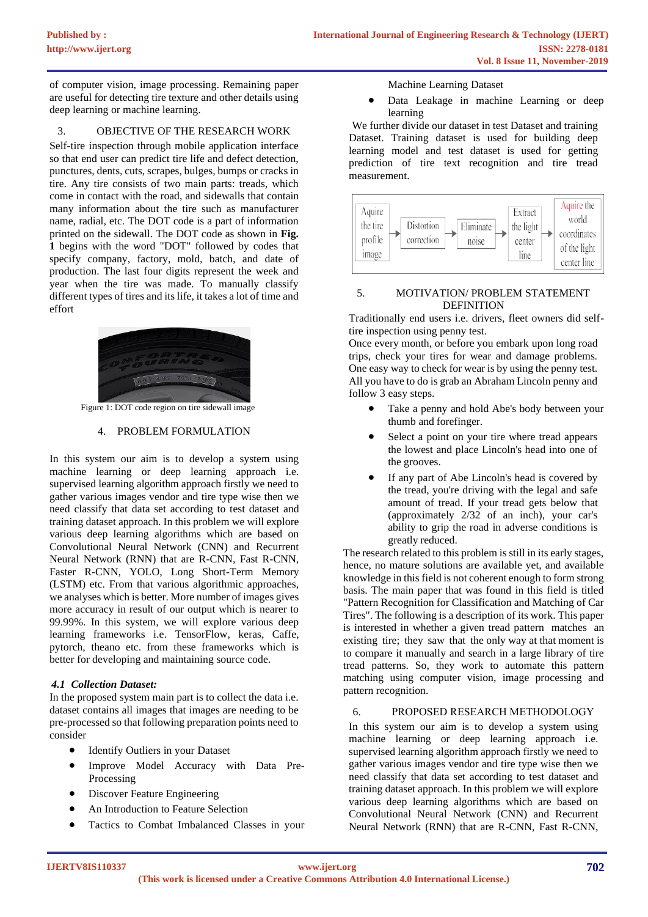of computer vision, image processing. Remaining paper are useful for detecting tire texture and other details using deep learning or machine learning.

## 3. OBJECTIVE OF THE RESEARCH WORK

Self-tire inspection through mobile application interface so that end user can predict tire life and defect detection, punctures, dents, cuts, scrapes, bulges, bumps or cracks in tire. Any tire consists of two main parts: treads, which come in contact with the road, and sidewalls that contain many information about the tire such as manufacturer name, radial, etc. The DOT code is a part of information printed on the sidewall. The DOT code as shown in **Fig. 1** begins with the word "DOT" followed by codes that specify company, factory, mold, batch, and date of production. The last four digits represent the week and year when the tire was made. To manually classify different types of tires and its life, it takes a lot of time and effort



Figure 1: DOT code region on tire sidewall image

#### 4. PROBLEM FORMULATION

In this system our aim is to develop a system using machine learning or deep learning approach i.e. supervised learning algorithm approach firstly we need to gather various images vendor and tire type wise then we need classify that data set according to test dataset and training dataset approach. In this problem we will explore various deep learning algorithms which are based on Convolutional Neural Network (CNN) and Recurrent Neural Network (RNN) that are R-CNN, Fast R-CNN, Faster R-CNN, YOLO, Long Short-Term Memory (LSTM) etc. From that various algorithmic approaches, we analyses which is better. More number of images gives more accuracy in result of our output which is nearer to 99.99%. In this system, we will explore various deep learning frameworks i.e. TensorFlow, keras, Caffe, pytorch, theano etc. from these frameworks which is better for developing and maintaining source code.

## *4.1 Collection Dataset:*

In the proposed system main part is to collect the data i.e. dataset contains all images that images are needing to be pre-processed so that following preparation points need to consider

- Identify Outliers in your Dataset
- Improve Model Accuracy with Data Pre-Processing
- Discover Feature Engineering
- An Introduction to Feature Selection
- Tactics to Combat Imbalanced Classes in your

Machine Learning Dataset

Data Leakage in machine Learning or deep learning

We further divide our dataset in test Dataset and training Dataset. Training dataset is used for building deep learning model and test dataset is used for getting prediction of tire text recognition and tire tread measurement.



# 5. MOTIVATION/ PROBLEM STATEMENT DEFINITION

Traditionally end users i.e. drivers, fleet owners did selftire inspection using penny test.

Once every month, or before you embark upon long road trips, check your tires for wear and damage problems. One easy way to check for wear is by using the penny test. All you have to do is grab an Abraham Lincoln penny and follow 3 easy steps.

- Take a penny and hold Abe's body between your thumb and forefinger.
- Select a point on your tire where tread appears the lowest and place Lincoln's head into one of the grooves.
- If any part of Abe Lincoln's head is covered by the tread, you're driving with the legal and safe amount of tread. If your tread gets below that (approximately 2/32 of an inch), your car's ability to grip the road in adverse conditions is greatly reduced.

The research related to this problem is still in its early stages, hence, no mature solutions are available yet, and available knowledge in this field is not coherent enough to form strong basis. The main paper that was found in this field is titled "Pattern Recognition for Classification and Matching of Car Tires". The following is a description of its work. This paper is interested in whether a given tread pattern matches an existing tire; they saw that the only way at that moment is to compare it manually and search in a large library of tire tread patterns. So, they work to automate this pattern matching using computer vision, image processing and pattern recognition.

#### 6. PROPOSED RESEARCH METHODOLOGY

In this system our aim is to develop a system using machine learning or deep learning approach i.e. supervised learning algorithm approach firstly we need to gather various images vendor and tire type wise then we need classify that data set according to test dataset and training dataset approach. In this problem we will explore various deep learning algorithms which are based on Convolutional Neural Network (CNN) and Recurrent Neural Network (RNN) that are R-CNN, Fast R-CNN,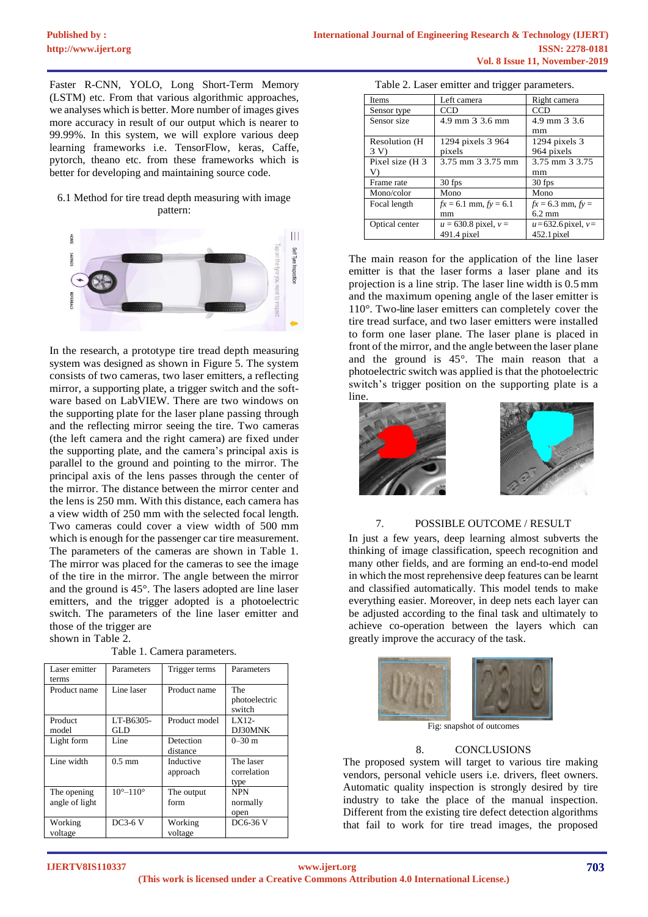Faster R-CNN, YOLO, Long Short-Term Memory (LSTM) etc. From that various algorithmic approaches, we analyses which is better. More number of images gives more accuracy in result of our output which is nearer to 99.99%. In this system, we will explore various deep learning frameworks i.e. TensorFlow, keras, Caffe, pytorch, theano etc. from these frameworks which is better for developing and maintaining source code.

#### 6.1 Method for tire tread depth measuring with image pattern:



In the research, a prototype tire tread depth measuring system was designed as shown in Figure 5. The system consists of two cameras, two laser emitters, a reflecting mirror, a supporting plate, a trigger switch and the software based on LabVIEW. There are two windows on the supporting plate for the laser plane passing through and the reflecting mirror seeing the tire. Two cameras (the left camera and the right camera) are fixed under the supporting plate, and the camera's principal axis is parallel to the ground and pointing to the mirror. The principal axis of the lens passes through the center of the mirror. The distance between the mirror center and the lens is 250 mm. With this distance, each camera has a view width of 250 mm with the selected focal length. Two cameras could cover a view width of 500 mm which is enough for the passenger car tire measurement. The parameters of the cameras are shown in Table 1. The mirror was placed for the cameras to see the image of the tire in the mirror. The angle between the mirror and the ground is 45°. The lasers adopted are line laser emitters, and the trigger adopted is a photoelectric switch. The parameters of the line laser emitter and those of the trigger are

shown in Table 2.

| Table 1. Camera parameters. |
|-----------------------------|
|                             |

| Laser emitter  | Parameters                 | Trigger terms | Parameters                     |
|----------------|----------------------------|---------------|--------------------------------|
| terms          |                            |               |                                |
| Product name   | Line laser                 | Product name  | The<br>photoelectric<br>switch |
| Product        | LT-B6305-                  | Product model | LX12-                          |
| model          | GLD                        |               | DJ30MNK                        |
| Light form     | Line                       | Detection     | $0 - 30$ m                     |
|                |                            | distance      |                                |
| Line width     | $0.5 \text{ mm}$           | Inductive     | The laser                      |
|                |                            | approach      | correlation                    |
|                |                            |               | type                           |
| The opening    | $10^{\circ} - 110^{\circ}$ | The output    | <b>NPN</b>                     |
| angle of light |                            | form          | normally                       |
|                |                            |               | open                           |
| Working        | $DC3-6V$                   | Working       | DC6-36 V                       |
| voltage        |                            | voltage       |                                |

| Table 2. Laser emitter and trigger parameters. |  |  |  |  |  |  |
|------------------------------------------------|--|--|--|--|--|--|
|------------------------------------------------|--|--|--|--|--|--|

| <b>Items</b>    | Left camera               | Right camera             |
|-----------------|---------------------------|--------------------------|
| Sensor type     | CCD                       | CCD                      |
| Sensor size     | 4.9 mm 3 3.6 mm           | 4.9 mm 3 3.6             |
|                 |                           | mm                       |
| Resolution (H)  | 1294 pixels 3 964         | 1294 pixels 3            |
| 3V              | pixels                    | 964 pixels               |
| Pixel size (H 3 | 3.75 mm 3 3.75 mm         | 3.75 mm 3 3.75           |
| V)              |                           | mm                       |
| Frame rate      | 30 fps                    | 30 fps                   |
| Mono/color      | Mono                      | Mono                     |
| Focal length    | $fx = 6.1$ mm, $fy = 6.1$ | $fx = 6.3$ mm, $fy =$    |
|                 | mm                        | $6.2 \text{ mm}$         |
| Optical center  | $u = 630.8$ pixel, $v =$  | $u = 632.6$ pixel, $v =$ |
|                 | $491.4$ pixel             | $452.1$ pixel            |

The main reason for the application of the line laser emitter is that the laser forms a laser plane and its projection is a line strip. The laser line width is 0.5mm and the maximum opening angle of the laser emitter is 110°. Two-line laser emitters can completely cover the tire tread surface, and two laser emitters were installed to form one laser plane. The laser plane is placed in front of the mirror, and the angle between the laser plane and the ground is 45°. The main reason that a photoelectric switch was applied is that the photoelectric switch's trigger position on the supporting plate is a line.



# 7. POSSIBLE OUTCOME / RESULT

In just a few years, deep learning almost subverts the thinking of image classification, speech recognition and many other fields, and are forming an end-to-end model in which the most reprehensive deep features can be learnt and classified automatically. This model tends to make everything easier. Moreover, in deep nets each layer can be adjusted according to the final task and ultimately to achieve co-operation between the layers which can greatly improve the accuracy of the task.



Fig: snapshot of outcomes

#### 8. CONCLUSIONS

The proposed system will target to various tire making vendors, personal vehicle users i.e. drivers, fleet owners. Automatic quality inspection is strongly desired by tire industry to take the place of the manual inspection. Different from the existing tire defect detection algorithms that fail to work for tire tread images, the proposed

**IJERTV8IS110337**